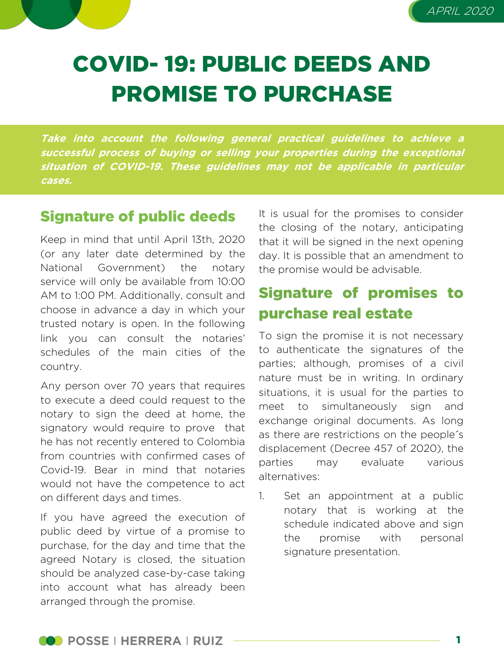



# COVID- 19: PUBLIC DEEDS AND PROMISE TO PURCHASE

**Take into account the following general practical guidelines to achieve <sup>a</sup> successful process of buying or selling your properties during the exceptional situation of COVID-19. These guidelines may not be applicable in particular cases.**

#### Signature of public deeds

Keep in mind that until April 13th, 2020 (or any later date determined by the National Government) the notary service will only be available from 10:00 AM to 1:00 PM. Additionally, consult and choose in advance a day in which your trusted notary is open. In the following link you can consult the notaries' schedules of the main cities of the country.

Any person over 70 years that requires to execute a deed could request to the notary to sign the deed at home, the signatory would require to prove that he has not recently entered to Colombia from countries with confirmed cases of Covid-19. Bear in mind that notaries would not have the competence to act on different days and times.

If you have agreed the execution of public deed by virtue of a promise to purchase, for the day and time that the agreed Notary is closed, the situation should be analyzed case-by-case taking into account what has already been arranged through the promise.

It is usual for the promises to consider the closing of the notary, anticipating that it will be signed in the next opening day. It is possible that an amendment to the promise would be advisable.

## Signature of promises to purchase real estate

To sign the promise it is not necessary to authenticate the signatures of the parties; although, promises of a civil nature must be in writing. In ordinary situations, it is usual for the parties to meet to simultaneously sign and exchange original documents. As long as there are restrictions on the people´s displacement (Decree 457 of 2020), the parties may evaluate various alternatives:

1. Set an appointment at a public notary that is working at the schedule indicated above and sign the promise with personal signature presentation.